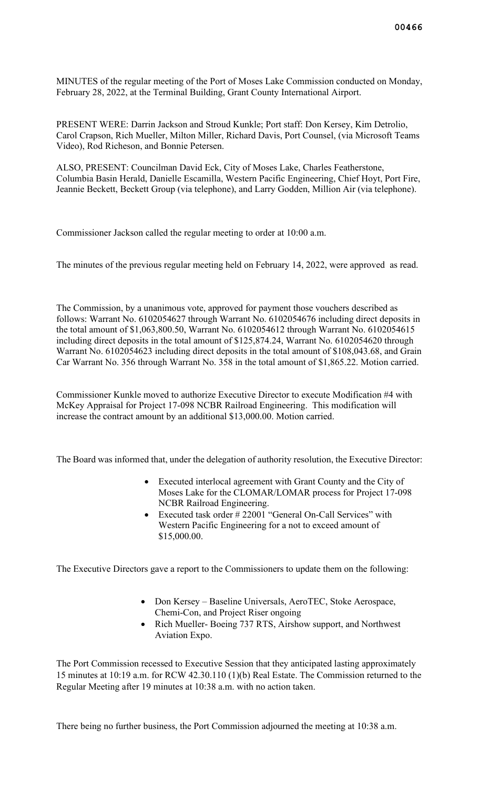MINUTES of the regular meeting of the Port of Moses Lake Commission conducted on Monday, February 28, 2022, at the Terminal Building, Grant County International Airport.

PRESENT WERE: Darrin Jackson and Stroud Kunkle; Port staff: Don Kersey, Kim Detrolio, Carol Crapson, Rich Mueller, Milton Miller, Richard Davis, Port Counsel, (via Microsoft Teams Video), Rod Richeson, and Bonnie Petersen.

ALSO, PRESENT: Councilman David Eck, City of Moses Lake, Charles Featherstone, Columbia Basin Herald, Danielle Escamilla, Western Pacific Engineering, Chief Hoyt, Port Fire, Jeannie Beckett, Beckett Group (via telephone), and Larry Godden, Million Air (via telephone).

Commissioner Jackson called the regular meeting to order at 10:00 a.m.

The minutes of the previous regular meeting held on February 14, 2022, were approved as read.

The Commission, by a unanimous vote, approved for payment those vouchers described as follows: Warrant No. 6102054627 through Warrant No. 6102054676 including direct deposits in the total amount of \$1,063,800.50, Warrant No. 6102054612 through Warrant No. 6102054615 including direct deposits in the total amount of \$125,874.24, Warrant No. 6102054620 through Warrant No. 6102054623 including direct deposits in the total amount of \$108,043.68, and Grain Car Warrant No. 356 through Warrant No. 358 in the total amount of \$1,865.22. Motion carried.

Commissioner Kunkle moved to authorize Executive Director to execute Modification #4 with McKey Appraisal for Project 17-098 NCBR Railroad Engineering. This modification will increase the contract amount by an additional \$13,000.00. Motion carried.

The Board was informed that, under the delegation of authority resolution, the Executive Director:

- Executed interlocal agreement with Grant County and the City of Moses Lake for the CLOMAR/LOMAR process for Project 17-098 NCBR Railroad Engineering.
- Executed task order # 22001 "General On-Call Services" with Western Pacific Engineering for a not to exceed amount of \$15,000.00.

The Executive Directors gave a report to the Commissioners to update them on the following:

- Don Kersey Baseline Universals, AeroTEC, Stoke Aerospace, Chemi-Con, and Project Riser ongoing
- Rich Mueller-Boeing 737 RTS, Airshow support, and Northwest Aviation Expo.

The Port Commission recessed to Executive Session that they anticipated lasting approximately 15 minutes at 10:19 a.m. for RCW 42.30.110 (1)(b) Real Estate. The Commission returned to the Regular Meeting after 19 minutes at 10:38 a.m. with no action taken.

There being no further business, the Port Commission adjourned the meeting at 10:38 a.m.